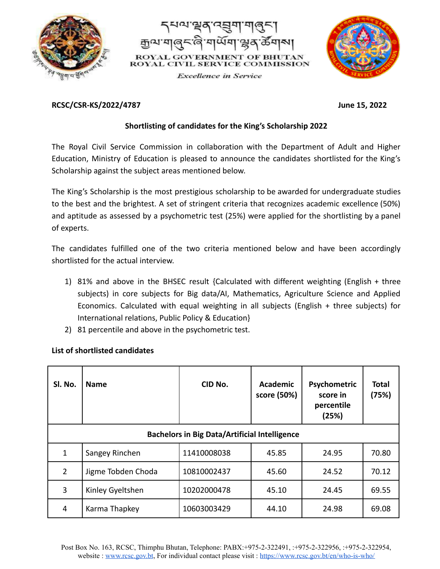



**Excellence** in Service



## **RCSC/CSR-KS/2022/4787 June 15, 2022**

## **Shortlisting of candidates for the King's Scholarship 2022**

The Royal Civil Service Commission in collaboration with the Department of Adult and Higher Education, Ministry of Education is pleased to announce the candidates shortlisted for the King's Scholarship against the subject areas mentioned below.

The King's Scholarship is the most prestigious scholarship to be awarded for undergraduate studies to the best and the brightest. A set of stringent criteria that recognizes academic excellence (50%) and aptitude as assessed by a psychometric test (25%) were applied for the shortlisting by a panel of experts.

The candidates fulfilled one of the two criteria mentioned below and have been accordingly shortlisted for the actual interview.

- 1) 81% and above in the BHSEC result {Calculated with different weighting (English + three subjects) in core subjects for Big data/AI, Mathematics, Agriculture Science and Applied Economics. Calculated with equal weighting in all subjects (English + three subjects) for International relations, Public Policy & Education}
- 2) 81 percentile and above in the psychometric test.

|  | List of shortlisted candidates |  |
|--|--------------------------------|--|
|  |                                |  |

| SI. No.                                              | <b>Name</b>        | CID No.     | Academic<br>score (50%) | Psychometric<br>score in<br>percentile<br>(25%) | Total<br>(75%) |  |
|------------------------------------------------------|--------------------|-------------|-------------------------|-------------------------------------------------|----------------|--|
| <b>Bachelors in Big Data/Artificial Intelligence</b> |                    |             |                         |                                                 |                |  |
| 1                                                    | Sangey Rinchen     | 11410008038 | 45.85                   | 24.95                                           | 70.80          |  |
| $\overline{2}$                                       | Jigme Tobden Choda | 10810002437 | 45.60                   | 24.52                                           | 70.12          |  |
| 3                                                    | Kinley Gyeltshen   | 10202000478 | 45.10                   | 24.45                                           | 69.55          |  |
| 4                                                    | Karma Thapkey      | 10603003429 | 44.10                   | 24.98                                           | 69.08          |  |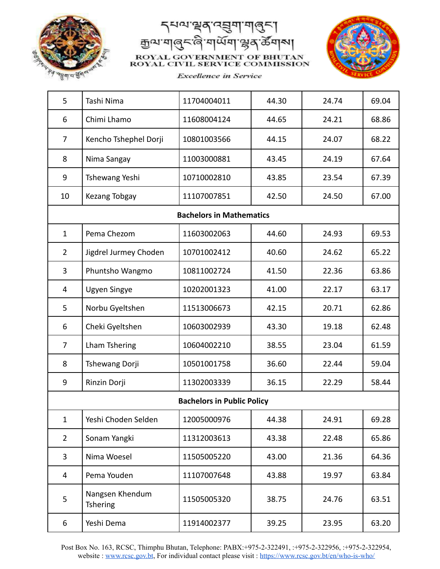

ক্ৰুণ্ডাম্ম N1 ROYAL GOVERNMENT OF BHUTAN **ROYAL CIVIL SERVICE COMMISSION** 



**Excellence** in Service

| 5                                 | Tashi Nima                         | 11704004011                     | 44.30 | 24.74 | 69.04 |  |
|-----------------------------------|------------------------------------|---------------------------------|-------|-------|-------|--|
| 6                                 | Chimi Lhamo                        | 11608004124                     | 44.65 | 24.21 | 68.86 |  |
| 7                                 | Kencho Tshephel Dorji              | 10801003566                     | 44.15 | 24.07 | 68.22 |  |
| 8                                 | Nima Sangay                        | 11003000881                     | 43.45 | 24.19 | 67.64 |  |
| 9                                 | Tshewang Yeshi                     | 10710002810                     | 43.85 | 23.54 | 67.39 |  |
| 10                                | Kezang Tobgay                      | 11107007851                     | 42.50 | 24.50 | 67.00 |  |
|                                   |                                    | <b>Bachelors in Mathematics</b> |       |       |       |  |
| $\mathbf{1}$                      | Pema Chezom                        | 11603002063                     | 44.60 | 24.93 | 69.53 |  |
| $\overline{2}$                    | Jigdrel Jurmey Choden              | 10701002412                     | 40.60 | 24.62 | 65.22 |  |
| 3                                 | Phuntsho Wangmo                    | 10811002724                     | 41.50 | 22.36 | 63.86 |  |
| 4                                 | <b>Ugyen Singye</b>                | 10202001323                     | 41.00 | 22.17 | 63.17 |  |
| 5                                 | Norbu Gyeltshen                    | 11513006673                     | 42.15 | 20.71 | 62.86 |  |
| 6                                 | Cheki Gyeltshen                    | 10603002939                     | 43.30 | 19.18 | 62.48 |  |
| $\overline{7}$                    | <b>Lham Tshering</b>               | 10604002210                     | 38.55 | 23.04 | 61.59 |  |
| 8                                 | Tshewang Dorji                     | 10501001758                     | 36.60 | 22.44 | 59.04 |  |
| 9                                 | Rinzin Dorji                       | 11302003339                     | 36.15 | 22.29 | 58.44 |  |
| <b>Bachelors in Public Policy</b> |                                    |                                 |       |       |       |  |
| $\mathbf{1}$                      | Yeshi Choden Selden                | 12005000976                     | 44.38 | 24.91 | 69.28 |  |
| $\overline{2}$                    | Sonam Yangki                       | 11312003613                     | 43.38 | 22.48 | 65.86 |  |
| 3                                 | Nima Woesel                        | 11505005220                     | 43.00 | 21.36 | 64.36 |  |
| 4                                 | Pema Youden                        | 11107007648                     | 43.88 | 19.97 | 63.84 |  |
| 5                                 | Nangsen Khendum<br><b>Tshering</b> | 11505005320                     | 38.75 | 24.76 | 63.51 |  |
| 6                                 | Yeshi Dema                         | 11914002377                     | 39.25 | 23.95 | 63.20 |  |

Post Box No. 163, RCSC, Thimphu Bhutan, Telephone: PABX:+975-2-322491, :+975-2-322956, :+975-2-322954, website : [www.rcsc.gov.bt](http://www.rcsc.gov.bt), For individual contact please visit : <https://www.rcsc.gov.bt/en/who-is-who/>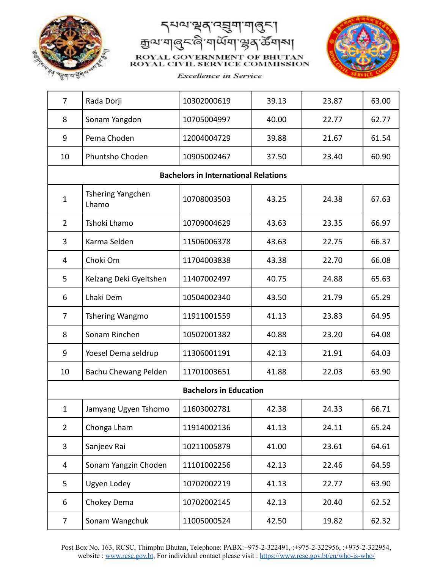

ক্ৰুথে'যা  $\mathbb{R}^2$ NI ROYAL GOVERNMENT OF BHUTAN **ROYAL CIVIL SERVICE COMMISSION** 



**Excellence** in Service

| $\overline{7}$                | Rada Dorji                 | 10302000619                                 | 39.13 | 23.87 | 63.00 |
|-------------------------------|----------------------------|---------------------------------------------|-------|-------|-------|
| 8                             | Sonam Yangdon              | 10705004997                                 | 40.00 | 22.77 | 62.77 |
| 9                             | Pema Choden                | 12004004729                                 | 39.88 | 21.67 | 61.54 |
| 10                            | Phuntsho Choden            | 10905002467                                 | 37.50 | 23.40 | 60.90 |
|                               |                            | <b>Bachelors in International Relations</b> |       |       |       |
| $\mathbf{1}$                  | Tshering Yangchen<br>Lhamo | 10708003503                                 | 43.25 | 24.38 | 67.63 |
| $\overline{2}$                | Tshoki Lhamo               | 10709004629                                 | 43.63 | 23.35 | 66.97 |
| 3                             | Karma Selden               | 11506006378                                 | 43.63 | 22.75 | 66.37 |
| 4                             | Choki Om                   | 11704003838                                 | 43.38 | 22.70 | 66.08 |
| 5                             | Kelzang Deki Gyeltshen     | 11407002497                                 | 40.75 | 24.88 | 65.63 |
| 6                             | Lhaki Dem                  | 10504002340                                 | 43.50 | 21.79 | 65.29 |
| $\overline{7}$                | Tshering Wangmo            | 11911001559                                 | 41.13 | 23.83 | 64.95 |
| 8                             | Sonam Rinchen              | 10502001382                                 | 40.88 | 23.20 | 64.08 |
| 9                             | Yoesel Dema seldrup        | 11306001191                                 | 42.13 | 21.91 | 64.03 |
| 10                            | Bachu Chewang Pelden       | 11701003651                                 | 41.88 | 22.03 | 63.90 |
| <b>Bachelors in Education</b> |                            |                                             |       |       |       |
| $\mathbf{1}$                  | Jamyang Ugyen Tshomo       | 11603002781                                 | 42.38 | 24.33 | 66.71 |
| $\overline{2}$                | Chonga Lham                | 11914002136                                 | 41.13 | 24.11 | 65.24 |
| 3                             | Sanjeev Rai                | 10211005879                                 | 41.00 | 23.61 | 64.61 |
| 4                             | Sonam Yangzin Choden       | 11101002256                                 | 42.13 | 22.46 | 64.59 |
| 5                             | Ugyen Lodey                | 10702002219                                 | 41.13 | 22.77 | 63.90 |
| 6                             | Chokey Dema                | 10702002145                                 | 42.13 | 20.40 | 62.52 |
| 7                             | Sonam Wangchuk             | 11005000524                                 | 42.50 | 19.82 | 62.32 |

Post Box No. 163, RCSC, Thimphu Bhutan, Telephone: PABX:+975-2-322491, :+975-2-322956, :+975-2-322954, website : [www.rcsc.gov.bt](http://www.rcsc.gov.bt), For individual contact please visit : <https://www.rcsc.gov.bt/en/who-is-who/>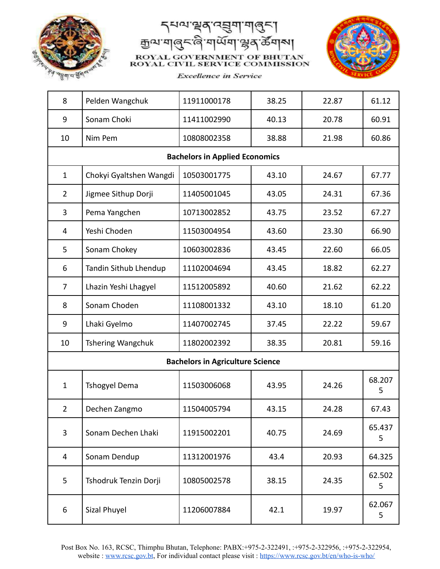

ক্ৰুণ্ডাম্ম N1 ROYAL GOVERNMENT OF BHUTAN **ROYAL CIVIL SERVICE COMMISSION** 



**Excellence** in Service

| 8                                       | Pelden Wangchuk          | 11911000178                           | 38.25 | 22.87 | 61.12       |  |
|-----------------------------------------|--------------------------|---------------------------------------|-------|-------|-------------|--|
| 9                                       | Sonam Choki              | 11411002990                           | 40.13 | 20.78 | 60.91       |  |
| 10                                      | Nim Pem                  | 10808002358                           | 38.88 | 21.98 | 60.86       |  |
|                                         |                          | <b>Bachelors in Applied Economics</b> |       |       |             |  |
| $\mathbf{1}$                            | Chokyi Gyaltshen Wangdi  | 10503001775                           | 43.10 | 24.67 | 67.77       |  |
| $\overline{2}$                          | Jigmee Sithup Dorji      | 11405001045                           | 43.05 | 24.31 | 67.36       |  |
| 3                                       | Pema Yangchen            | 10713002852                           | 43.75 | 23.52 | 67.27       |  |
| 4                                       | Yeshi Choden             | 11503004954                           | 43.60 | 23.30 | 66.90       |  |
| 5                                       | Sonam Chokey             | 10603002836                           | 43.45 | 22.60 | 66.05       |  |
| 6                                       | Tandin Sithub Lhendup    | 11102004694                           | 43.45 | 18.82 | 62.27       |  |
| $\overline{7}$                          | Lhazin Yeshi Lhagyel     | 11512005892                           | 40.60 | 21.62 | 62.22       |  |
| 8                                       | Sonam Choden             | 11108001332                           | 43.10 | 18.10 | 61.20       |  |
| 9                                       | Lhaki Gyelmo             | 11407002745                           | 37.45 | 22.22 | 59.67       |  |
| 10                                      | <b>Tshering Wangchuk</b> | 11802002392                           | 38.35 | 20.81 | 59.16       |  |
| <b>Bachelors in Agriculture Science</b> |                          |                                       |       |       |             |  |
| $\mathbf{1}$                            | <b>Tshogyel Dema</b>     | 11503006068                           | 43.95 | 24.26 | 68.207<br>5 |  |
| $\overline{2}$                          | Dechen Zangmo            | 11504005794                           | 43.15 | 24.28 | 67.43       |  |
| 3                                       | Sonam Dechen Lhaki       | 11915002201                           | 40.75 | 24.69 | 65.437<br>5 |  |
| 4                                       | Sonam Dendup             | 11312001976                           | 43.4  | 20.93 | 64.325      |  |
| 5                                       | Tshodruk Tenzin Dorji    | 10805002578                           | 38.15 | 24.35 | 62.502<br>5 |  |
| 6                                       | Sizal Phuyel             | 11206007884                           | 42.1  | 19.97 | 62.067<br>5 |  |